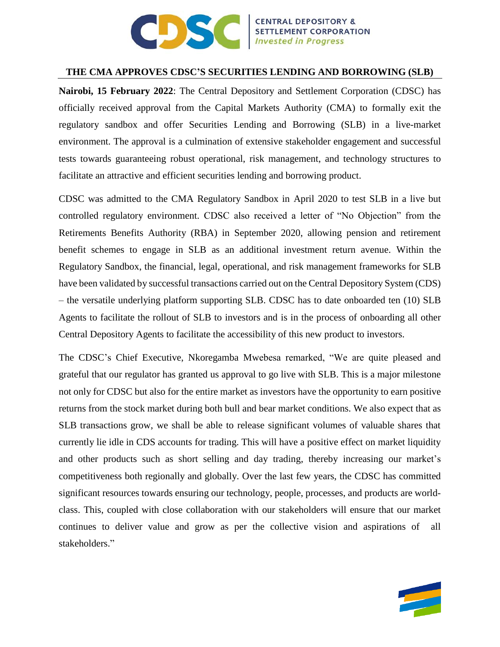

## **THE CMA APPROVES CDSC'S SECURITIES LENDING AND BORROWING (SLB)**

**Nairobi, 15 February 2022**: The Central Depository and Settlement Corporation (CDSC) has officially received approval from the Capital Markets Authority (CMA) to formally exit the regulatory sandbox and offer Securities Lending and Borrowing (SLB) in a live-market environment. The approval is a culmination of extensive stakeholder engagement and successful tests towards guaranteeing robust operational, risk management, and technology structures to facilitate an attractive and efficient securities lending and borrowing product.

CDSC was admitted to the CMA Regulatory Sandbox in April 2020 to test SLB in a live but controlled regulatory environment. CDSC also received a letter of "No Objection" from the Retirements Benefits Authority (RBA) in September 2020, allowing pension and retirement benefit schemes to engage in SLB as an additional investment return avenue. Within the Regulatory Sandbox, the financial, legal, operational, and risk management frameworks for SLB have been validated by successful transactions carried out on the Central Depository System (CDS) – the versatile underlying platform supporting SLB. CDSC has to date onboarded ten (10) SLB Agents to facilitate the rollout of SLB to investors and is in the process of onboarding all other Central Depository Agents to facilitate the accessibility of this new product to investors.

The CDSC's Chief Executive, Nkoregamba Mwebesa remarked, "We are quite pleased and grateful that our regulator has granted us approval to go live with SLB. This is a major milestone not only for CDSC but also for the entire market as investors have the opportunity to earn positive returns from the stock market during both bull and bear market conditions. We also expect that as SLB transactions grow, we shall be able to release significant volumes of valuable shares that currently lie idle in CDS accounts for trading. This will have a positive effect on market liquidity and other products such as short selling and day trading, thereby increasing our market's competitiveness both regionally and globally. Over the last few years, the CDSC has committed significant resources towards ensuring our technology, people, processes, and products are worldclass. This, coupled with close collaboration with our stakeholders will ensure that our market continues to deliver value and grow as per the collective vision and aspirations of all stakeholders."